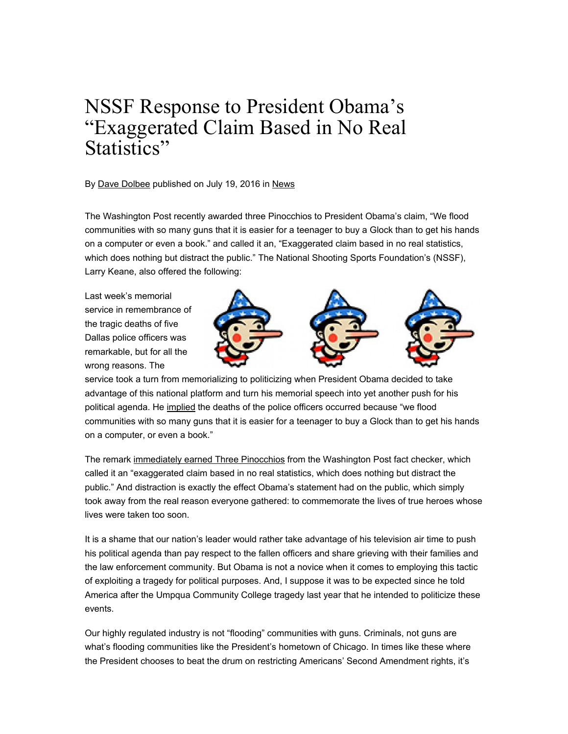## NSSF Response to President Obama's "Exaggerated Claim Based in No Real Statistics"

## By Dave Dolbee published on July 19, 2016 in News

The Washington Post recently awarded three Pinocchios to President Obama's claim, "We flood communities with so many guns that it is easier for a teenager to buy a Glock than to get his hands on a computer or even a book." and called it an, "Exaggerated claim based in no real statistics, which does nothing but distract the public." The National Shooting Sports Foundation's (NSSF), Larry Keane, also offered the following:

Last week's memorial service in remembrance of the tragic deaths of five Dallas police officers was remarkable, but for all the wrong reasons. The



service took a turn from memorializing to politicizing when President Obama decided to take advantage of this national platform and turn his memorial speech into yet another push for his political agenda. He implied the deaths of the police officers occurred because "we flood communities with so many guns that it is easier for a teenager to buy a Glock than to get his hands on a computer, or even a book."

The remark immediately earned Three Pinocchios from the Washington Post fact checker, which called it an "exaggerated claim based in no real statistics, which does nothing but distract the public." And distraction is exactly the effect Obama's statement had on the public, which simply took away from the real reason everyone gathered: to commemorate the lives of true heroes whose lives were taken too soon.

It is a shame that our nation's leader would rather take advantage of his television air time to push his political agenda than pay respect to the fallen officers and share grieving with their families and the law enforcement community. But Obama is not a novice when it comes to employing this tactic of exploiting a tragedy for political purposes. And, I suppose it was to be expected since he told America after the Umpqua Community College tragedy last year that he intended to politicize these events.

Our highly regulated industry is not "flooding" communities with guns. Criminals, not guns are what's flooding communities like the President's hometown of Chicago. In times like these where the President chooses to beat the drum on restricting Americans' Second Amendment rights, it's